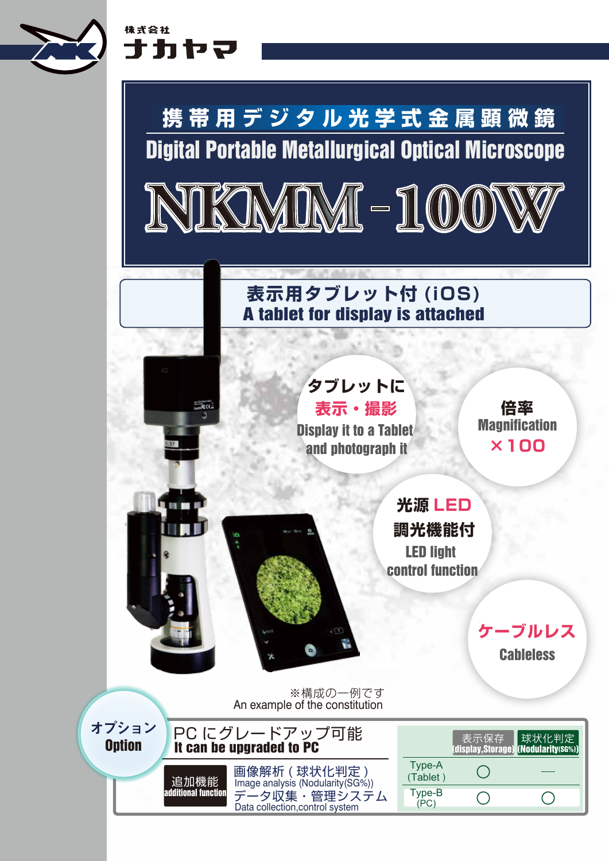



## Digital Portable Metallurgical Optical Microscope **携帯用デジタル光学式金属顕微鏡 NKMM**-**100W**

## **表示用タブレット付 (iOS)** A tablet for display is attached

**Display it to a Tablet** and photograph it **タブレットに 表示・撮影**

倍率<br>Magnification **×100**



**光源 LED 調光機能付** LED light control function

> **ケーブルレス Cableless**

※構成の一例です An example of the constitution

| オプション<br><b>Option</b> | PC にグレードアップ可能<br>It can be upgraded to PC |                                                                                                      | 球状化判定<br>表示保存<br>(display,Storage) (Nodularity(SG%)) |  |  |
|------------------------|-------------------------------------------|------------------------------------------------------------------------------------------------------|------------------------------------------------------|--|--|
|                        | 追加機能<br>litional function                 | 画像解析 (球状化判定)<br>Image analysis (Nodularity (SG%))<br>データ収集・管理システム<br>Data collection, control system | Type-A<br>(Tablet)                                   |  |  |
|                        |                                           |                                                                                                      | Type-B<br>(PC)                                       |  |  |